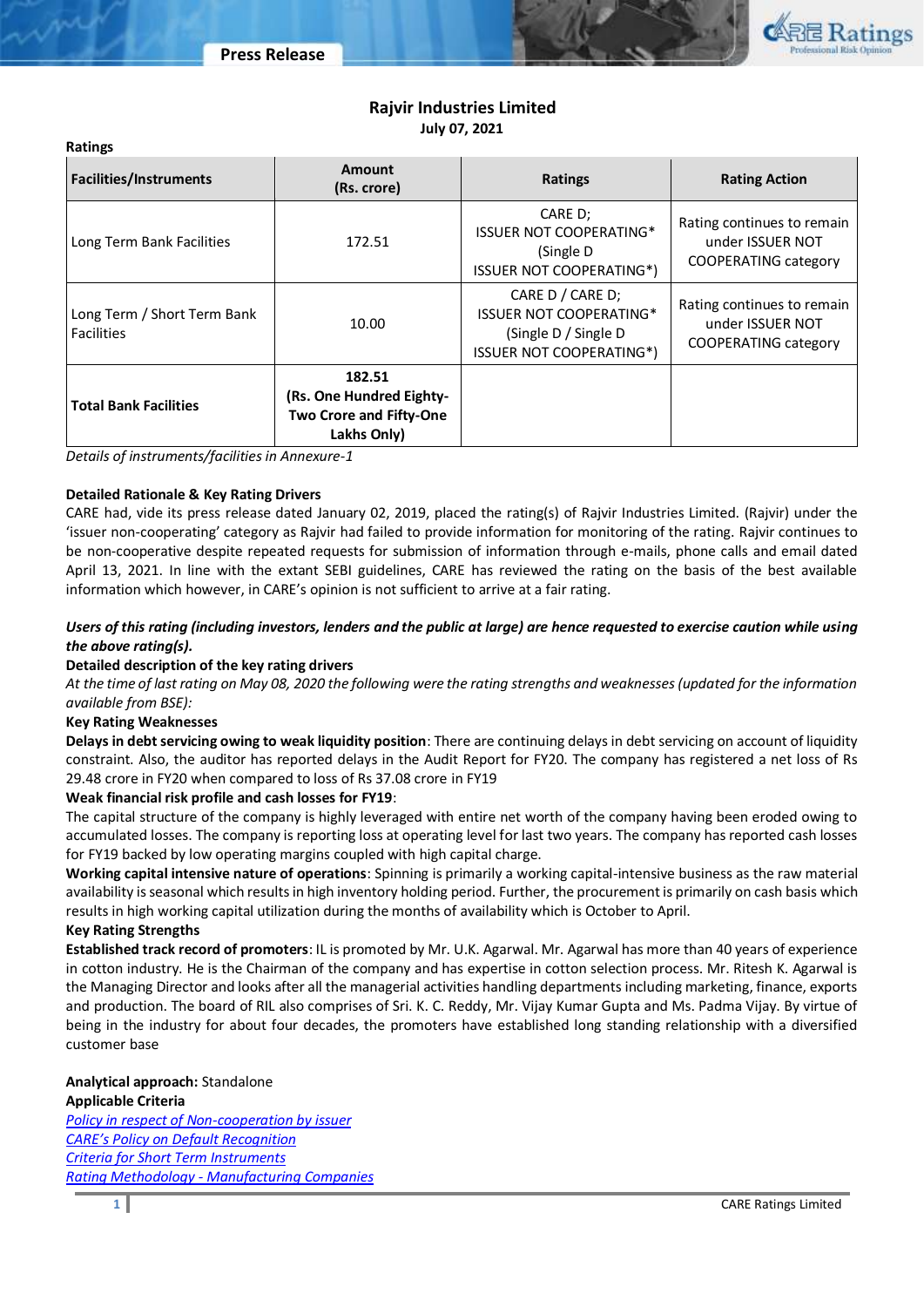

# **Rajvir Industries Limited July 07, 2021**

| <b>Facilities/Instruments</b>                    | <b>Amount</b><br>(Rs. crore)                                                        | <b>Ratings</b>                                                                             | <b>Rating Action</b>                                                          |  |
|--------------------------------------------------|-------------------------------------------------------------------------------------|--------------------------------------------------------------------------------------------|-------------------------------------------------------------------------------|--|
| Long Term Bank Facilities                        | 172.51                                                                              | CARE D;<br><b>ISSUER NOT COOPERATING*</b><br>(Single D)<br><b>ISSUER NOT COOPERATING*)</b> | Rating continues to remain<br>under ISSUER NOT<br><b>COOPERATING category</b> |  |
| Long Term / Short Term Bank<br><b>Facilities</b> | 10.00                                                                               |                                                                                            | Rating continues to remain<br>under ISSUER NOT<br><b>COOPERATING category</b> |  |
| <b>Total Bank Facilities</b>                     | 182.51<br>(Rs. One Hundred Eighty-<br><b>Two Crore and Fifty-One</b><br>Lakhs Only) |                                                                                            |                                                                               |  |

*Details of instruments/facilities in Annexure-1*

## **Detailed Rationale & Key Rating Drivers**

CARE had, vide its press release dated January 02, 2019, placed the rating(s) of Rajvir Industries Limited. (Rajvir) under the 'issuer non-cooperating' category as Rajvir had failed to provide information for monitoring of the rating. Rajvir continues to be non-cooperative despite repeated requests for submission of information through e-mails, phone calls and email dated April 13, 2021. In line with the extant SEBI guidelines, CARE has reviewed the rating on the basis of the best available information which however, in CARE's opinion is not sufficient to arrive at a fair rating.

# *Users of this rating (including investors, lenders and the public at large) are hence requested to exercise caution while using the above rating(s).*

## **Detailed description of the key rating drivers**

*At the time of last rating on May 08, 2020 the following were the rating strengths and weaknesses (updated for the information available from BSE):*

## **Key Rating Weaknesses**

**Ratings** 

**Delays in debt servicing owing to weak liquidity position**: There are continuing delays in debt servicing on account of liquidity constraint. Also, the auditor has reported delays in the Audit Report for FY20. The company has registered a net loss of Rs 29.48 crore in FY20 when compared to loss of Rs 37.08 crore in FY19

# **Weak financial risk profile and cash losses for FY19**:

The capital structure of the company is highly leveraged with entire net worth of the company having been eroded owing to accumulated losses. The company is reporting loss at operating level for last two years. The company has reported cash losses for FY19 backed by low operating margins coupled with high capital charge.

**Working capital intensive nature of operations**: Spinning is primarily a working capital-intensive business as the raw material availability is seasonal which results in high inventory holding period. Further, the procurement is primarily on cash basis which results in high working capital utilization during the months of availability which is October to April.

## **Key Rating Strengths**

**Established track record of promoters**: IL is promoted by Mr. U.K. Agarwal. Mr. Agarwal has more than 40 years of experience in cotton industry. He is the Chairman of the company and has expertise in cotton selection process. Mr. Ritesh K. Agarwal is the Managing Director and looks after all the managerial activities handling departments including marketing, finance, exports and production. The board of RIL also comprises of Sri. K. C. Reddy, Mr. Vijay Kumar Gupta and Ms. Padma Vijay. By virtue of being in the industry for about four decades, the promoters have established long standing relationship with a diversified customer base

## **Analytical approach:** Standalone **Applicable Criteria**

*[Policy in respect of Non-cooperation by issuer](https://www.careratings.com/pdf/resources/Policy%20in%20respect%20of%20%20non%20co-operation%20by%20issuer%20_Oct2020.pdf) CARE's Policy on [Default Recognition](https://www.careratings.com/pdf/resources/CARE) [Criteria for Short Term Instruments](https://www.careratings.com/upload/NewsFiles/GetRated/Short%20Term%20Instruments%20_Feb2021.pdf) Rating Methodology - [Manufacturing Companies](https://www.careratings.com/upload/NewsFiles/GetRated/Rating%20Methodology%20-%20Manufacturing%20Companies-12Dec20.pdf)*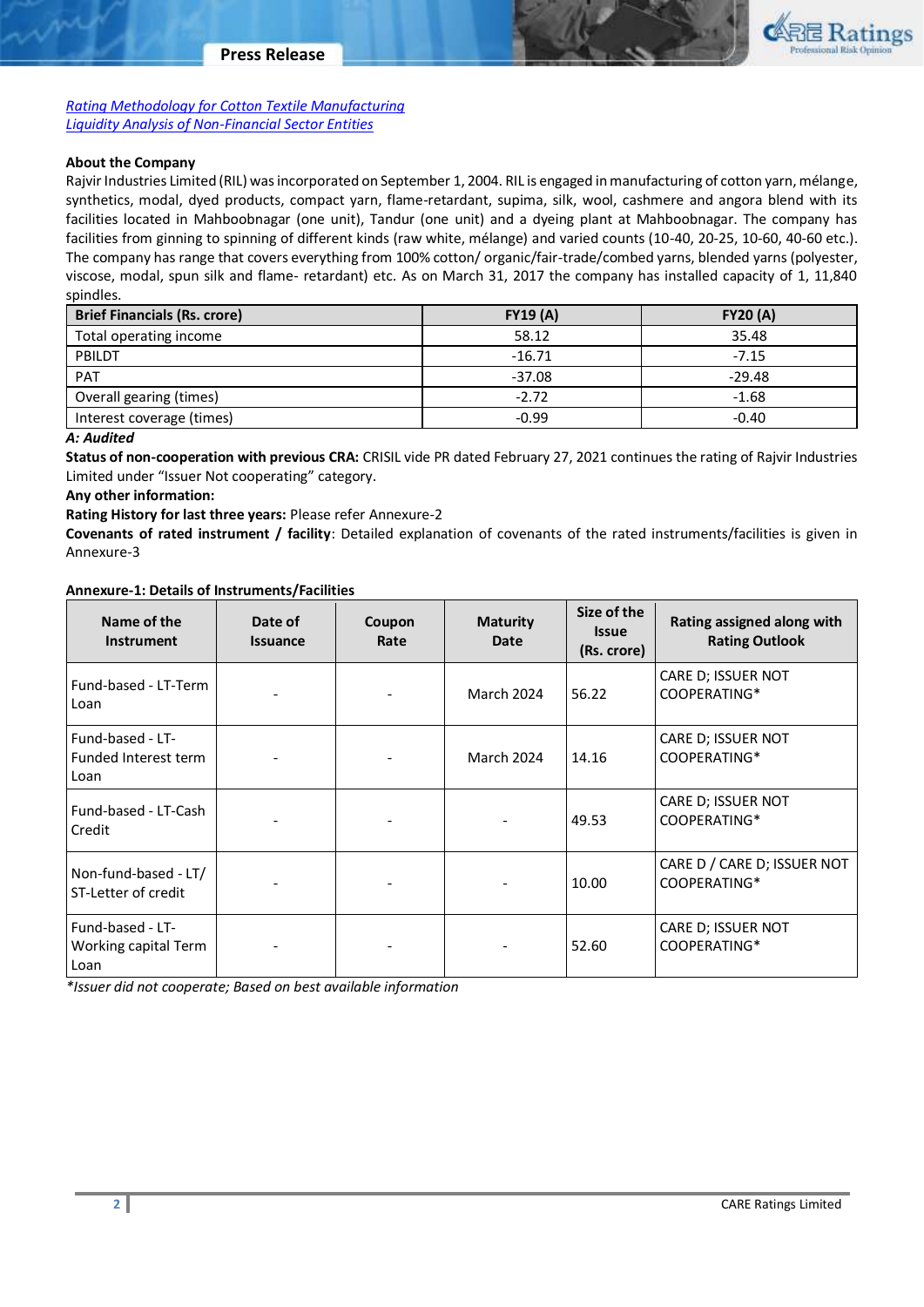*[Rating Methodology for Cotton Textile Manufacturing](https://www.careratings.com/upload/NewsFiles/GetRated/Cotton_Methodology_24Nov20.pdf) [Liquidity Analysis of Non-Financial Sector Entities](https://www.careratings.com/pdf/resources/Liquidity%20Analysis%20of%20Non-Financial%20Sector%20entities_May2020.pdf)*

## **About the Company**

Rajvir Industries Limited (RIL) was incorporated on September 1, 2004. RIL is engaged in manufacturing of cotton yarn, mélange, synthetics, modal, dyed products, compact yarn, flame-retardant, supima, silk, wool, cashmere and angora blend with its facilities located in Mahboobnagar (one unit), Tandur (one unit) and a dyeing plant at Mahboobnagar. The company has facilities from ginning to spinning of different kinds (raw white, mélange) and varied counts (10-40, 20-25, 10-60, 40-60 etc.). The company has range that covers everything from 100% cotton/ organic/fair-trade/combed yarns, blended yarns (polyester, viscose, modal, spun silk and flame- retardant) etc. As on March 31, 2017 the company has installed capacity of 1, 11,840 spindles.

| <b>Brief Financials (Rs. crore)</b> | <b>FY19 (A)</b> | <b>FY20 (A)</b> |
|-------------------------------------|-----------------|-----------------|
| Total operating income              | 58.12           | 35.48           |
| PBILDT                              | $-16.71$        | $-7.15$         |
| PAT                                 | $-37.08$        | $-29.48$        |
| Overall gearing (times)             | $-2.72$         | $-1.68$         |
| Interest coverage (times)           | $-0.99$         | $-0.40$         |

*A: Audited*

**Status of non-cooperation with previous CRA:** CRISIL vide PR dated February 27, 2021 continues the rating of Rajvir Industries Limited under "Issuer Not cooperating" category.

**Any other information:**

**Rating History for last three years:** Please refer Annexure-2

**Covenants of rated instrument / facility**: Detailed explanation of covenants of the rated instruments/facilities is given in Annexure-3

#### **Annexure-1: Details of Instruments/Facilities**

| Name of the<br><b>Instrument</b>                 | Date of<br><b>Issuance</b> | Coupon<br>Rate | <b>Maturity</b><br>Date | Size of the<br><b>Issue</b><br>(Rs. crore) | Rating assigned along with<br><b>Rating Outlook</b> |
|--------------------------------------------------|----------------------------|----------------|-------------------------|--------------------------------------------|-----------------------------------------------------|
| Fund-based - LT-Term<br>Loan                     |                            |                | March 2024              | 56.22                                      | CARE D; ISSUER NOT<br>COOPERATING*                  |
| Fund-based - LT-<br>Funded Interest term<br>Loan |                            |                | March 2024              | 14.16                                      | CARE D; ISSUER NOT<br>COOPERATING*                  |
| Fund-based - LT-Cash<br>Credit                   |                            |                |                         | 49.53                                      | CARE D; ISSUER NOT<br>COOPERATING*                  |
| Non-fund-based - LT/<br>ST-Letter of credit      |                            |                |                         | 10.00                                      | CARE D / CARE D; ISSUER NOT<br>COOPERATING*         |
| Fund-based - LT-<br>Working capital Term<br>Loan |                            |                |                         | 52.60                                      | CARE D; ISSUER NOT<br>COOPERATING*                  |

*\*Issuer did not cooperate; Based on best available information*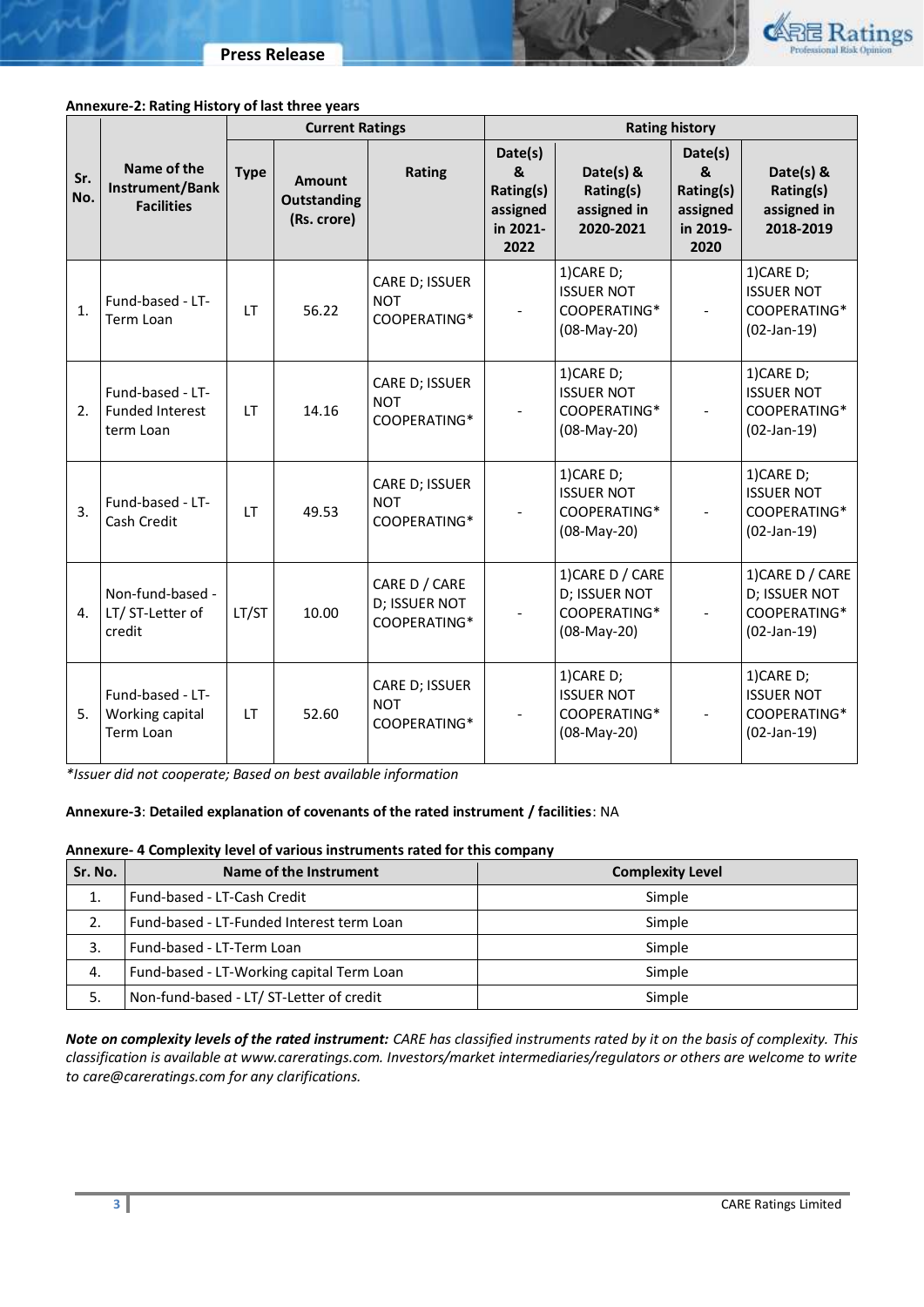

### **Annexure-2: Rating History of last three years**

|            |                                                         |             | <b>Current Ratings</b>                      |                                                |                                                           | <b>Rating history</b>                                            |                                                           |                                                                    |  |
|------------|---------------------------------------------------------|-------------|---------------------------------------------|------------------------------------------------|-----------------------------------------------------------|------------------------------------------------------------------|-----------------------------------------------------------|--------------------------------------------------------------------|--|
| Sr.<br>No. | Name of the<br>Instrument/Bank<br><b>Facilities</b>     | <b>Type</b> | Amount<br><b>Outstanding</b><br>(Rs. crore) | Rating                                         | Date(s)<br>&<br>Rating(s)<br>assigned<br>in 2021-<br>2022 | Date(s) &<br>Rating(s)<br>assigned in<br>2020-2021               | Date(s)<br>&<br>Rating(s)<br>assigned<br>in 2019-<br>2020 | Date(s) &<br>Rating(s)<br>assigned in<br>2018-2019                 |  |
| 1.         | Fund-based - LT-<br>Term Loan                           | <b>LT</b>   | 56.22                                       | CARE D; ISSUER<br><b>NOT</b><br>COOPERATING*   |                                                           | 1)CARE D;<br><b>ISSUER NOT</b><br>COOPERATING*<br>(08-May-20)    |                                                           | 1)CARE D;<br><b>ISSUER NOT</b><br>COOPERATING*<br>$(02-Jan-19)$    |  |
| 2.         | Fund-based - LT-<br><b>Funded Interest</b><br>term Loan | <b>LT</b>   | 14.16                                       | CARE D; ISSUER<br><b>NOT</b><br>COOPERATING*   |                                                           | 1)CARE D;<br><b>ISSUER NOT</b><br>COOPERATING*<br>(08-May-20)    |                                                           | 1)CARE D;<br><b>ISSUER NOT</b><br>COOPERATING*<br>$(02-Jan-19)$    |  |
| 3.         | Fund-based - LT-<br>Cash Credit                         | <b>LT</b>   | 49.53                                       | CARE D; ISSUER<br><b>NOT</b><br>COOPERATING*   |                                                           | 1)CARE D;<br><b>ISSUER NOT</b><br>COOPERATING*<br>(08-May-20)    |                                                           | 1)CARE D;<br><b>ISSUER NOT</b><br>COOPERATING*<br>$(02-Jan-19)$    |  |
| 4.         | Non-fund-based -<br>LT/ ST-Letter of<br>credit          | LT/ST       | 10.00                                       | CARE D / CARE<br>D; ISSUER NOT<br>COOPERATING* |                                                           | 1) CARE D / CARE<br>D; ISSUER NOT<br>COOPERATING*<br>(08-May-20) |                                                           | 1) CARE D / CARE<br>D; ISSUER NOT<br>COOPERATING*<br>$(02-Jan-19)$ |  |
| 5.         | Fund-based - LT-<br>Working capital<br>Term Loan        | <b>LT</b>   | 52.60                                       | CARE D; ISSUER<br><b>NOT</b><br>COOPERATING*   |                                                           | 1)CARE D;<br><b>ISSUER NOT</b><br>COOPERATING*<br>(08-May-20)    |                                                           | 1)CARE D;<br><b>ISSUER NOT</b><br>COOPERATING*<br>$(02-Jan-19)$    |  |

*\*Issuer did not cooperate; Based on best available information*

# **Annexure-3**: **Detailed explanation of covenants of the rated instrument / facilities**: NA

## **Annexure- 4 Complexity level of various instruments rated for this company**

| Sr. No. | Name of the Instrument                    | <b>Complexity Level</b> |  |
|---------|-------------------------------------------|-------------------------|--|
|         | Fund-based - LT-Cash Credit               | Simple                  |  |
| 2.      | Fund-based - LT-Funded Interest term Loan | Simple                  |  |
| 3.      | Fund-based - LT-Term Loan                 | Simple                  |  |
| 4.      | Fund-based - LT-Working capital Term Loan | Simple                  |  |
|         | Non-fund-based - LT/ ST-Letter of credit  | Simple                  |  |

*Note on complexity levels of the rated instrument: CARE has classified instruments rated by it on the basis of complexity. This classification is available at www.careratings.com. Investors/market intermediaries/regulators or others are welcome to write to care@careratings.com for any clarifications.*